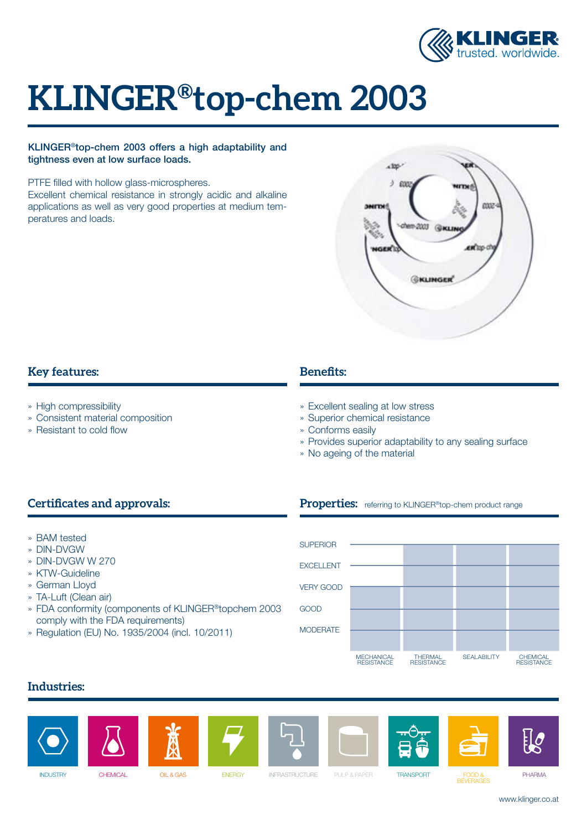

# **KLINGER®top-chem 2003**

#### KLINGER®top-chem 2003 offers a high adaptability and tightness even at low surface loads.

PTFE filled with hollow glass-microspheres.

Excellent chemical resistance in strongly acidic and alkaline applications as well as very good properties at medium temperatures and loads.



## **Key features:**

- » High compressibility
- » Consistent material composition
- » Resistant to cold flow

# **Benefits:**

- » Excellent sealing at low stress
- » Superior chemical resistance
- » Conforms easily
- » Provides superior adaptability to any sealing surface

Properties: referring to KLINGER<sup>®</sup>top-chem product range

» No ageing of the material

# **Certificates and approvals:**

- » BAM tested
- » DIN-DVGW
- » DIN-DVGW W 270
- » KTW-Guideline
- » German Lloyd
- » TA-Luft (Clean air)
- » FDA conformity (components of KLINGER®topchem 2003 comply with the FDA requirements)
- » Regulation (EU) No. 1935/2004 (incl. 10/2011)



## **Industries:**